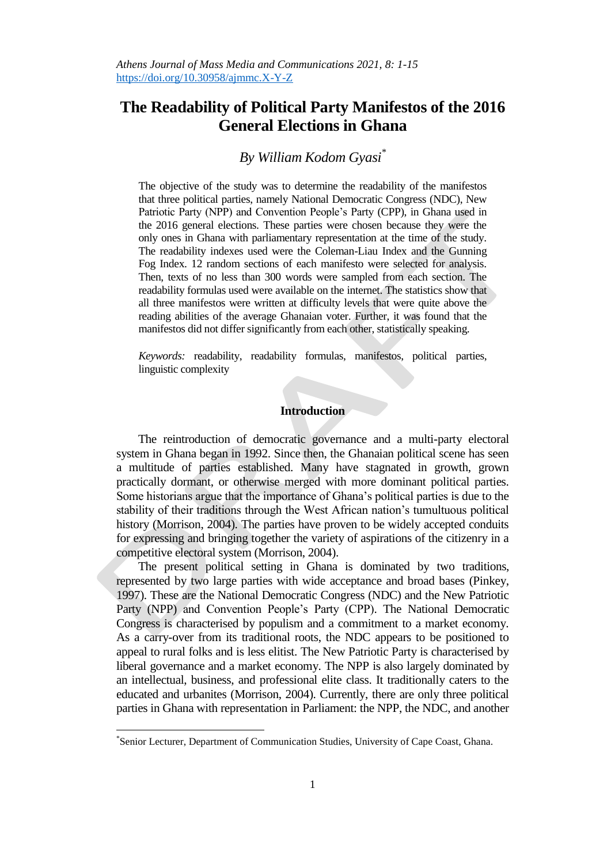# **The Readability of Political Party Manifestos of the 2016 General Elections in Ghana**

# *By William Kodom Gyasi\**

The objective of the study was to determine the readability of the manifestos that three political parties, namely National Democratic Congress (NDC), New Patriotic Party (NPP) and Convention People"s Party (CPP), in Ghana used in the 2016 general elections. These parties were chosen because they were the only ones in Ghana with parliamentary representation at the time of the study. The readability indexes used were the Coleman-Liau Index and the Gunning Fog Index. 12 random sections of each manifesto were selected for analysis. Then, texts of no less than 300 words were sampled from each section. The readability formulas used were available on the internet. The statistics show that all three manifestos were written at difficulty levels that were quite above the reading abilities of the average Ghanaian voter. Further, it was found that the manifestos did not differ significantly from each other, statistically speaking.

*Keywords:* readability, readability formulas, manifestos, political parties, linguistic complexity

## **Introduction**

The reintroduction of democratic governance and a multi-party electoral system in Ghana began in 1992. Since then, the Ghanaian political scene has seen a multitude of parties established. Many have stagnated in growth, grown practically dormant, or otherwise merged with more dominant political parties. Some historians argue that the importance of Ghana"s political parties is due to the stability of their traditions through the West African nation"s tumultuous political history (Morrison, 2004). The parties have proven to be widely accepted conduits for expressing and bringing together the variety of aspirations of the citizenry in a competitive electoral system (Morrison, 2004).

The present political setting in Ghana is dominated by two traditions, represented by two large parties with wide acceptance and broad bases (Pinkey, 1997). These are the National Democratic Congress (NDC) and the New Patriotic Party (NPP) and Convention People's Party (CPP). The National Democratic Congress is characterised by populism and a commitment to a market economy. As a carry-over from its traditional roots, the NDC appears to be positioned to appeal to rural folks and is less elitist. The New Patriotic Party is characterised by liberal governance and a market economy. The NPP is also largely dominated by an intellectual, business, and professional elite class. It traditionally caters to the educated and urbanites (Morrison, 2004). Currently, there are only three political parties in Ghana with representation in Parliament: the NPP, the NDC, and another

 $\overline{a}$ 

<sup>\*</sup> Senior Lecturer, Department of Communication Studies, University of Cape Coast, Ghana.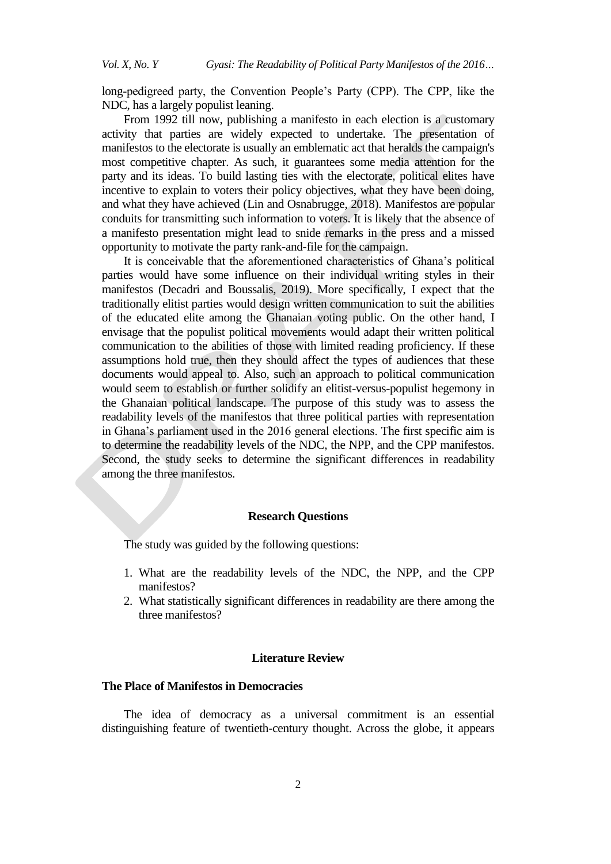long-pedigreed party, the Convention People's Party (CPP). The CPP, like the NDC, has a largely populist leaning.

From 1992 till now, publishing a manifesto in each election is a customary activity that parties are widely expected to undertake. The presentation of manifestos to the electorate is usually an emblematic act that heralds the campaign's most competitive chapter. As such, it guarantees some media attention for the party and its ideas. To build lasting ties with the electorate, political elites have incentive to explain to voters their policy objectives, what they have been doing, and what they have achieved (Lin and Osnabrugge, 2018). Manifestos are popular conduits for transmitting such information to voters. It is likely that the absence of a manifesto presentation might lead to snide remarks in the press and a missed opportunity to motivate the party rank-and-file for the campaign.

It is conceivable that the aforementioned characteristics of Ghana"s political parties would have some influence on their individual writing styles in their manifestos (Decadri and Boussalis, 2019). More specifically, I expect that the traditionally elitist parties would design written communication to suit the abilities of the educated elite among the Ghanaian voting public. On the other hand, I envisage that the populist political movements would adapt their written political communication to the abilities of those with limited reading proficiency. If these assumptions hold true, then they should affect the types of audiences that these documents would appeal to. Also, such an approach to political communication would seem to establish or further solidify an elitist-versus-populist hegemony in the Ghanaian political landscape. The purpose of this study was to assess the readability levels of the manifestos that three political parties with representation in Ghana"s parliament used in the 2016 general elections. The first specific aim is to determine the readability levels of the NDC, the NPP, and the CPP manifestos. Second, the study seeks to determine the significant differences in readability among the three manifestos.

### **Research Questions**

The study was guided by the following questions:

- 1. What are the readability levels of the NDC, the NPP, and the CPP manifestos?
- 2. What statistically significant differences in readability are there among the three manifestos?

#### **Literature Review**

#### **The Place of Manifestos in Democracies**

The idea of democracy as a universal commitment is an essential distinguishing feature of twentieth-century thought. Across the globe, it appears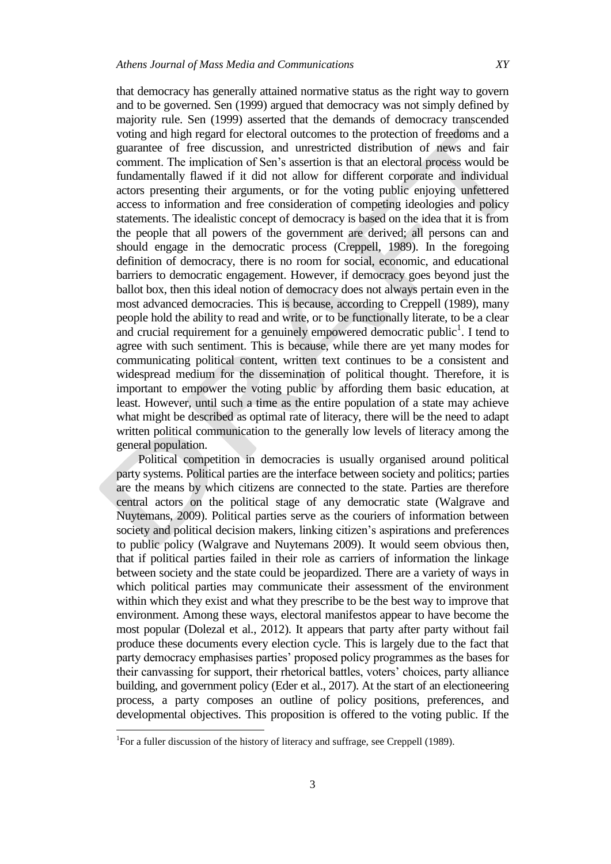that democracy has generally attained normative status as the right way to govern and to be governed. Sen (1999) argued that democracy was not simply defined by majority rule. Sen (1999) asserted that the demands of democracy transcended voting and high regard for electoral outcomes to the protection of freedoms and a guarantee of free discussion, and unrestricted distribution of news and fair comment. The implication of Sen"s assertion is that an electoral process would be fundamentally flawed if it did not allow for different corporate and individual actors presenting their arguments, or for the voting public enjoying unfettered access to information and free consideration of competing ideologies and policy statements. The idealistic concept of democracy is based on the idea that it is from the people that all powers of the government are derived; all persons can and should engage in the democratic process (Creppell, 1989). In the foregoing definition of democracy, there is no room for social, economic, and educational barriers to democratic engagement. However, if democracy goes beyond just the ballot box, then this ideal notion of democracy does not always pertain even in the most advanced democracies. This is because, according to Creppell (1989), many people hold the ability to read and write, or to be functionally literate, to be a clear and crucial requirement for a genuinely empowered democratic public<sup>1</sup>. I tend to agree with such sentiment. This is because, while there are yet many modes for communicating political content, written text continues to be a consistent and widespread medium for the dissemination of political thought. Therefore, it is important to empower the voting public by affording them basic education, at least. However, until such a time as the entire population of a state may achieve what might be described as optimal rate of literacy, there will be the need to adapt written political communication to the generally low levels of literacy among the general population.

Political competition in democracies is usually organised around political party systems. Political parties are the interface between society and politics; parties are the means by which citizens are connected to the state. Parties are therefore central actors on the political stage of any democratic state (Walgrave and Nuytemans, 2009). Political parties serve as the couriers of information between society and political decision makers, linking citizen's aspirations and preferences to public policy (Walgrave and Nuytemans 2009). It would seem obvious then, that if political parties failed in their role as carriers of information the linkage between society and the state could be jeopardized. There are a variety of ways in which political parties may communicate their assessment of the environment within which they exist and what they prescribe to be the best way to improve that environment. Among these ways, electoral manifestos appear to have become the most popular (Dolezal et al., 2012). It appears that party after party without fail produce these documents every election cycle. This is largely due to the fact that party democracy emphasises parties' proposed policy programmes as the bases for their canvassing for support, their rhetorical battles, voters" choices, party alliance building, and government policy (Eder et al., 2017). At the start of an electioneering process, a party composes an outline of policy positions, preferences, and developmental objectives. This proposition is offered to the voting public. If the

 $\overline{a}$ 

<sup>&</sup>lt;sup>1</sup>For a fuller discussion of the history of literacy and suffrage, see Creppell (1989).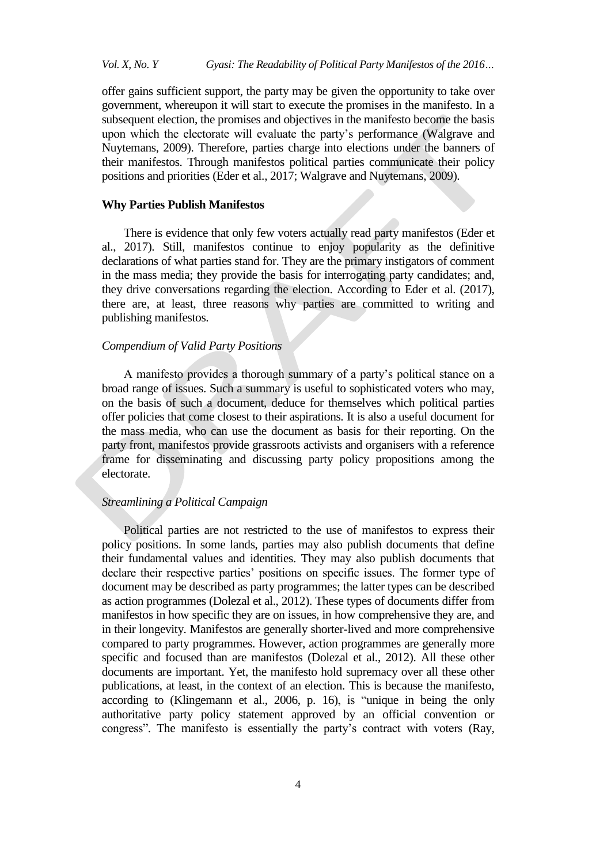offer gains sufficient support, the party may be given the opportunity to take over government, whereupon it will start to execute the promises in the manifesto. In a subsequent election, the promises and objectives in the manifesto become the basis upon which the electorate will evaluate the party"s performance (Walgrave and Nuytemans, 2009). Therefore, parties charge into elections under the banners of their manifestos. Through manifestos political parties communicate their policy positions and priorities (Eder et al., 2017; Walgrave and Nuytemans, 2009).

#### **Why Parties Publish Manifestos**

There is evidence that only few voters actually read party manifestos (Eder et al., 2017). Still, manifestos continue to enjoy popularity as the definitive declarations of what parties stand for. They are the primary instigators of comment in the mass media; they provide the basis for interrogating party candidates; and, they drive conversations regarding the election. According to Eder et al. (2017), there are, at least, three reasons why parties are committed to writing and publishing manifestos.

#### *Compendium of Valid Party Positions*

A manifesto provides a thorough summary of a party"s political stance on a broad range of issues. Such a summary is useful to sophisticated voters who may, on the basis of such a document, deduce for themselves which political parties offer policies that come closest to their aspirations. It is also a useful document for the mass media, who can use the document as basis for their reporting. On the party front, manifestos provide grassroots activists and organisers with a reference frame for disseminating and discussing party policy propositions among the electorate.

### *Streamlining a Political Campaign*

Political parties are not restricted to the use of manifestos to express their policy positions. In some lands, parties may also publish documents that define their fundamental values and identities. They may also publish documents that declare their respective parties' positions on specific issues. The former type of document may be described as party programmes; the latter types can be described as action programmes (Dolezal et al., 2012). These types of documents differ from manifestos in how specific they are on issues, in how comprehensive they are, and in their longevity. Manifestos are generally shorter-lived and more comprehensive compared to party programmes. However, action programmes are generally more specific and focused than are manifestos (Dolezal et al., 2012). All these other documents are important. Yet, the manifesto hold supremacy over all these other publications, at least, in the context of an election. This is because the manifesto, according to (Klingemann et al., 2006, p. 16), is "unique in being the only authoritative party policy statement approved by an official convention or congress". The manifesto is essentially the party's contract with voters (Ray,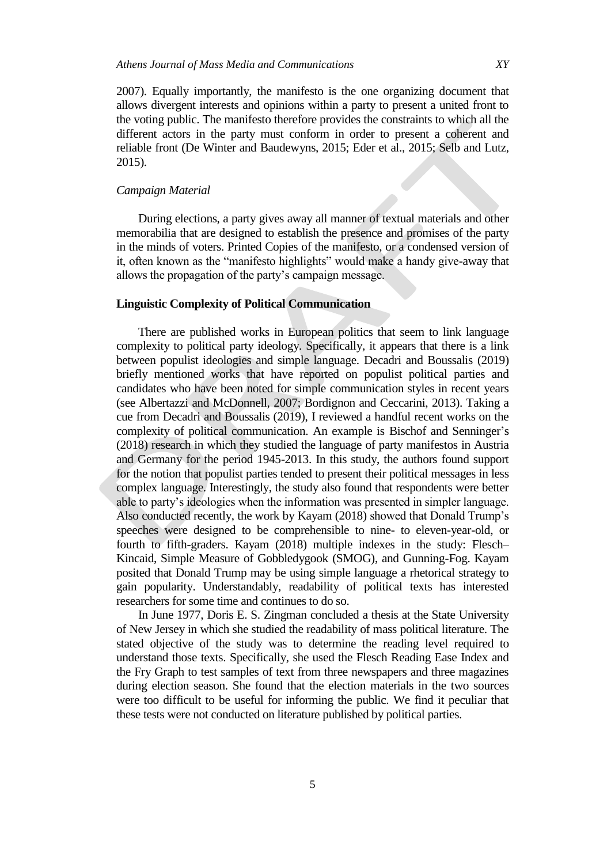2007). Equally importantly, the manifesto is the one organizing document that allows divergent interests and opinions within a party to present a united front to the voting public. The manifesto therefore provides the constraints to which all the different actors in the party must conform in order to present a coherent and reliable front (De Winter and Baudewyns, 2015; Eder et al., 2015; Selb and Lutz, 2015).

## *Campaign Material*

During elections, a party gives away all manner of textual materials and other memorabilia that are designed to establish the presence and promises of the party in the minds of voters. Printed Copies of the manifesto, or a condensed version of it, often known as the "manifesto highlights" would make a handy give-away that allows the propagation of the party"s campaign message.

### **Linguistic Complexity of Political Communication**

There are published works in European politics that seem to link language complexity to political party ideology. Specifically, it appears that there is a link between populist ideologies and simple language. Decadri and Boussalis (2019) briefly mentioned works that have reported on populist political parties and candidates who have been noted for simple communication styles in recent years (see Albertazzi and McDonnell, 2007; Bordignon and Ceccarini, 2013). Taking a cue from Decadri and Boussalis (2019), I reviewed a handful recent works on the complexity of political communication. An example is Bischof and Senninger"s (2018) research in which they studied the language of party manifestos in Austria and Germany for the period 1945-2013. In this study, the authors found support for the notion that populist parties tended to present their political messages in less complex language. Interestingly, the study also found that respondents were better able to party"s ideologies when the information was presented in simpler language. Also conducted recently, the work by Kayam (2018) showed that Donald Trump"s speeches were designed to be comprehensible to nine- to eleven-year-old, or fourth to fifth-graders. Kayam (2018) multiple indexes in the study: Flesch– Kincaid, Simple Measure of Gobbledygook (SMOG), and Gunning-Fog. Kayam posited that Donald Trump may be using simple language a rhetorical strategy to gain popularity. Understandably, readability of political texts has interested researchers for some time and continues to do so.

In June 1977, Doris E. S. Zingman concluded a thesis at the State University of New Jersey in which she studied the readability of mass political literature. The stated objective of the study was to determine the reading level required to understand those texts. Specifically, she used the Flesch Reading Ease Index and the Fry Graph to test samples of text from three newspapers and three magazines during election season. She found that the election materials in the two sources were too difficult to be useful for informing the public. We find it peculiar that these tests were not conducted on literature published by political parties.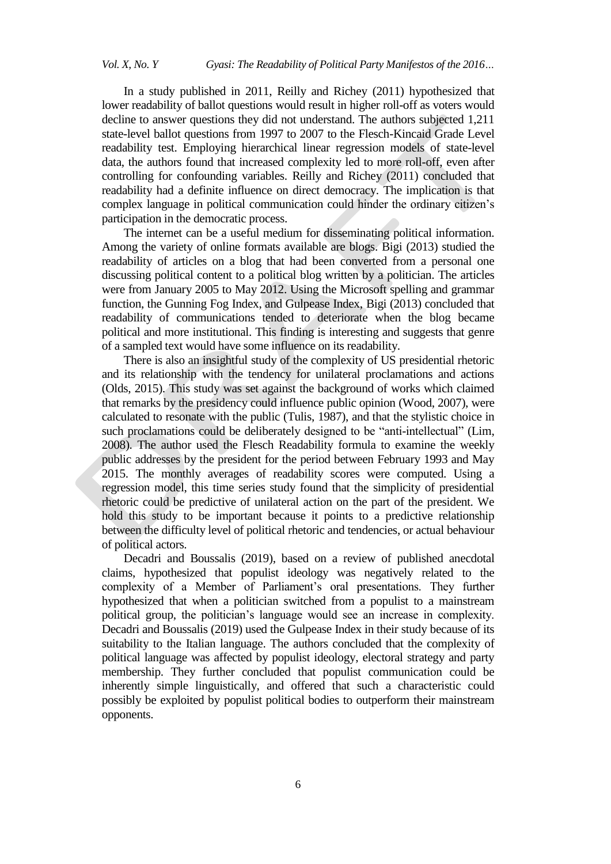In a study published in 2011, Reilly and Richey (2011) hypothesized that lower readability of ballot questions would result in higher roll-off as voters would decline to answer questions they did not understand. The authors subjected 1,211 state-level ballot questions from 1997 to 2007 to the Flesch-Kincaid Grade Level readability test. Employing hierarchical linear regression models of state-level data, the authors found that increased complexity led to more roll-off, even after controlling for confounding variables. Reilly and Richey (2011) concluded that readability had a definite influence on direct democracy. The implication is that complex language in political communication could hinder the ordinary citizen"s participation in the democratic process.

The internet can be a useful medium for disseminating political information. Among the variety of online formats available are blogs. Bigi (2013) studied the readability of articles on a blog that had been converted from a personal one discussing political content to a political blog written by a politician. The articles were from January 2005 to May 2012. Using the Microsoft spelling and grammar function, the Gunning Fog Index, and Gulpease Index, Bigi (2013) concluded that readability of communications tended to deteriorate when the blog became political and more institutional. This finding is interesting and suggests that genre of a sampled text would have some influence on its readability.

There is also an insightful study of the complexity of US presidential rhetoric and its relationship with the tendency for unilateral proclamations and actions (Olds, 2015). This study was set against the background of works which claimed that remarks by the presidency could influence public opinion (Wood, 2007), were calculated to resonate with the public (Tulis, 1987), and that the stylistic choice in such proclamations could be deliberately designed to be "anti-intellectual" (Lim, 2008). The author used the Flesch Readability formula to examine the weekly public addresses by the president for the period between February 1993 and May 2015. The monthly averages of readability scores were computed. Using a regression model, this time series study found that the simplicity of presidential rhetoric could be predictive of unilateral action on the part of the president. We hold this study to be important because it points to a predictive relationship between the difficulty level of political rhetoric and tendencies, or actual behaviour of political actors.

Decadri and Boussalis (2019), based on a review of published anecdotal claims, hypothesized that populist ideology was negatively related to the complexity of a Member of Parliament"s oral presentations. They further hypothesized that when a politician switched from a populist to a mainstream political group, the politician"s language would see an increase in complexity. Decadri and Boussalis (2019) used the Gulpease Index in their study because of its suitability to the Italian language. The authors concluded that the complexity of political language was affected by populist ideology, electoral strategy and party membership. They further concluded that populist communication could be inherently simple linguistically, and offered that such a characteristic could possibly be exploited by populist political bodies to outperform their mainstream opponents.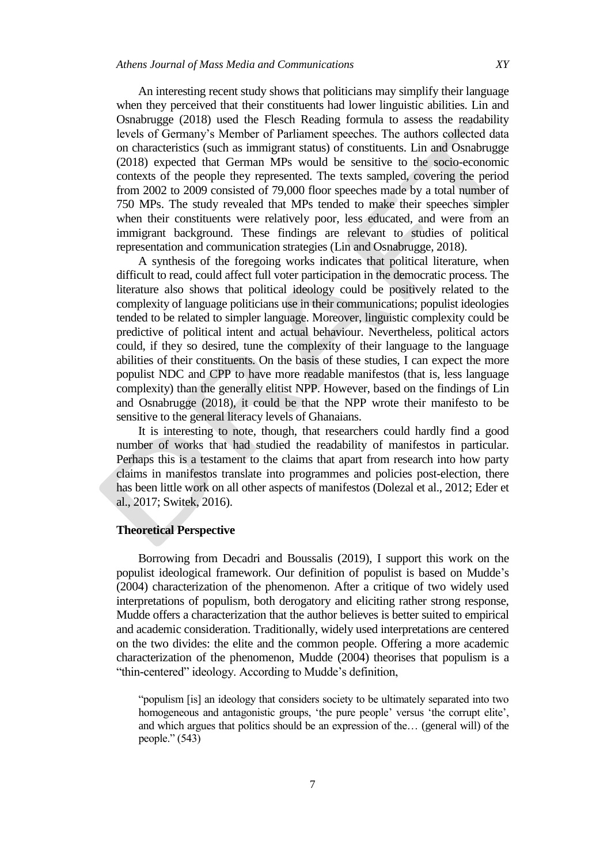An interesting recent study shows that politicians may simplify their language when they perceived that their constituents had lower linguistic abilities. Lin and Osnabrugge (2018) used the Flesch Reading formula to assess the readability levels of Germany"s Member of Parliament speeches. The authors collected data on characteristics (such as immigrant status) of constituents. Lin and Osnabrugge (2018) expected that German MPs would be sensitive to the socio-economic contexts of the people they represented. The texts sampled, covering the period from 2002 to 2009 consisted of 79,000 floor speeches made by a total number of 750 MPs. The study revealed that MPs tended to make their speeches simpler when their constituents were relatively poor, less educated, and were from an immigrant background. These findings are relevant to studies of political

A synthesis of the foregoing works indicates that political literature, when difficult to read, could affect full voter participation in the democratic process. The literature also shows that political ideology could be positively related to the complexity of language politicians use in their communications; populist ideologies tended to be related to simpler language. Moreover, linguistic complexity could be predictive of political intent and actual behaviour. Nevertheless, political actors could, if they so desired, tune the complexity of their language to the language abilities of their constituents. On the basis of these studies, I can expect the more populist NDC and CPP to have more readable manifestos (that is, less language complexity) than the generally elitist NPP. However, based on the findings of Lin and Osnabrugge (2018), it could be that the NPP wrote their manifesto to be sensitive to the general literacy levels of Ghanaians.

representation and communication strategies (Lin and Osnabrugge, 2018).

It is interesting to note, though, that researchers could hardly find a good number of works that had studied the readability of manifestos in particular. Perhaps this is a testament to the claims that apart from research into how party claims in manifestos translate into programmes and policies post-election, there has been little work on all other aspects of manifestos (Dolezal et al., 2012; Eder et al., 2017; Switek, 2016).

#### **Theoretical Perspective**

Borrowing from Decadri and Boussalis (2019), I support this work on the populist ideological framework. Our definition of populist is based on Mudde"s (2004) characterization of the phenomenon. After a critique of two widely used interpretations of populism, both derogatory and eliciting rather strong response, Mudde offers a characterization that the author believes is better suited to empirical and academic consideration. Traditionally, widely used interpretations are centered on the two divides: the elite and the common people. Offering a more academic characterization of the phenomenon, Mudde (2004) theorises that populism is a "thin-centered" ideology. According to Mudde"s definition,

"populism [is] an ideology that considers society to be ultimately separated into two homogeneous and antagonistic groups, 'the pure people' versus 'the corrupt elite', and which argues that politics should be an expression of the… (general will) of the people." (543)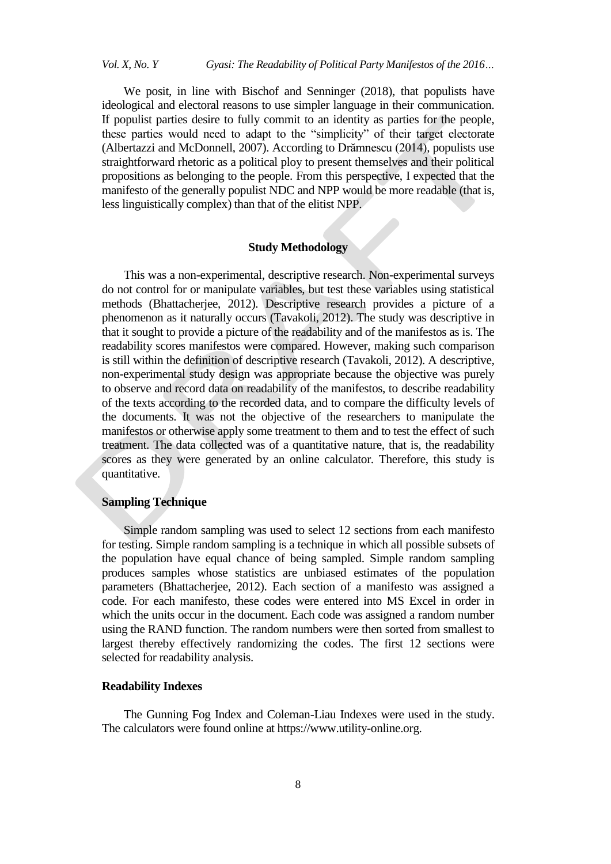We posit, in line with Bischof and Senninger (2018), that populists have ideological and electoral reasons to use simpler language in their communication. If populist parties desire to fully commit to an identity as parties for the people, these parties would need to adapt to the "simplicity" of their target electorate (Albertazzi and McDonnell, 2007). According to Drămnescu (2014), populists use straightforward rhetoric as a political ploy to present themselves and their political propositions as belonging to the people. From this perspective, I expected that the manifesto of the generally populist NDC and NPP would be more readable (that is, less linguistically complex) than that of the elitist NPP.

## **Study Methodology**

This was a non-experimental, descriptive research. Non-experimental surveys do not control for or manipulate variables, but test these variables using statistical methods (Bhattacherjee, 2012). Descriptive research provides a picture of a phenomenon as it naturally occurs (Tavakoli, 2012). The study was descriptive in that it sought to provide a picture of the readability and of the manifestos as is. The readability scores manifestos were compared. However, making such comparison is still within the definition of descriptive research (Tavakoli, 2012). A descriptive, non-experimental study design was appropriate because the objective was purely to observe and record data on readability of the manifestos, to describe readability of the texts according to the recorded data, and to compare the difficulty levels of the documents. It was not the objective of the researchers to manipulate the manifestos or otherwise apply some treatment to them and to test the effect of such treatment. The data collected was of a quantitative nature, that is, the readability scores as they were generated by an online calculator. Therefore, this study is quantitative.

# **Sampling Technique**

Simple random sampling was used to select 12 sections from each manifesto for testing. Simple random sampling is a technique in which all possible subsets of the population have equal chance of being sampled. Simple random sampling produces samples whose statistics are unbiased estimates of the population parameters (Bhattacherjee, 2012). Each section of a manifesto was assigned a code. For each manifesto, these codes were entered into MS Excel in order in which the units occur in the document. Each code was assigned a random number using the RAND function. The random numbers were then sorted from smallest to largest thereby effectively randomizing the codes. The first 12 sections were selected for readability analysis.

### **Readability Indexes**

The Gunning Fog Index and Coleman-Liau Indexes were used in the study. The calculators were found online at [https://www.utility-online.org.](https://www.utility-online.org/)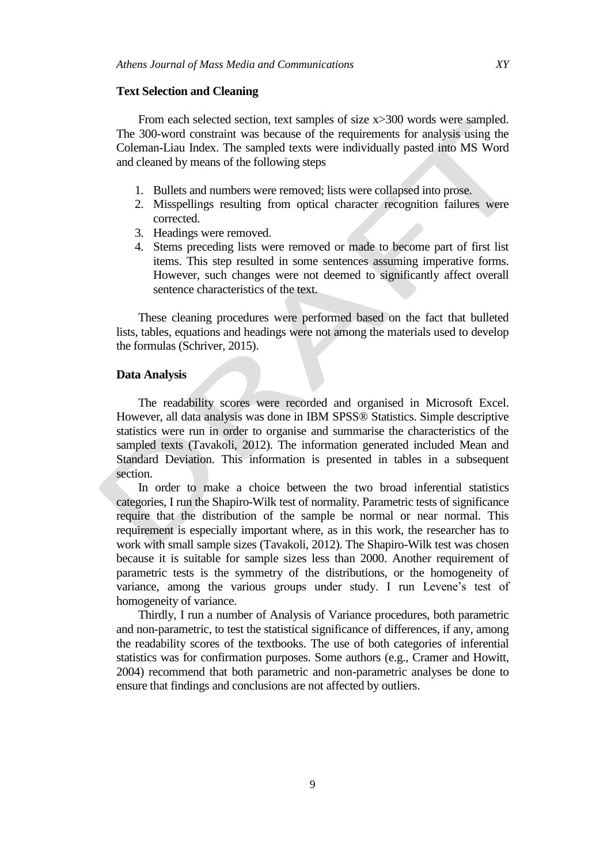#### **Text Selection and Cleaning**

From each selected section, text samples of size  $x > 300$  words were sampled. The 300-word constraint was because of the requirements for analysis using the Coleman-Liau Index. The sampled texts were individually pasted into MS Word and cleaned by means of the following steps

- 1. Bullets and numbers were removed; lists were collapsed into prose.
- 2. Misspellings resulting from optical character recognition failures were corrected.
- 3. Headings were removed.
- 4. Stems preceding lists were removed or made to become part of first list items. This step resulted in some sentences assuming imperative forms. However, such changes were not deemed to significantly affect overall sentence characteristics of the text.

These cleaning procedures were performed based on the fact that bulleted lists, tables, equations and headings were not among the materials used to develop the formulas (Schriver, 2015).

#### **Data Analysis**

The readability scores were recorded and organised in Microsoft Excel. However, all data analysis was done in IBM SPSS® Statistics. Simple descriptive statistics were run in order to organise and summarise the characteristics of the sampled texts (Tavakoli, 2012). The information generated included Mean and Standard Deviation. This information is presented in tables in a subsequent section.

In order to make a choice between the two broad inferential statistics categories, I run the Shapiro-Wilk test of normality. Parametric tests of significance require that the distribution of the sample be normal or near normal. This requirement is especially important where, as in this work, the researcher has to work with small sample sizes (Tavakoli, 2012). The Shapiro-Wilk test was chosen because it is suitable for sample sizes less than 2000. Another requirement of parametric tests is the symmetry of the distributions, or the homogeneity of variance, among the various groups under study. I run Levene"s test of homogeneity of variance.

Thirdly, I run a number of Analysis of Variance procedures, both parametric and non-parametric, to test the statistical significance of differences, if any, among the readability scores of the textbooks. The use of both categories of inferential statistics was for confirmation purposes. Some authors (e.g., Cramer and Howitt, 2004) recommend that both parametric and non-parametric analyses be done to ensure that findings and conclusions are not affected by outliers.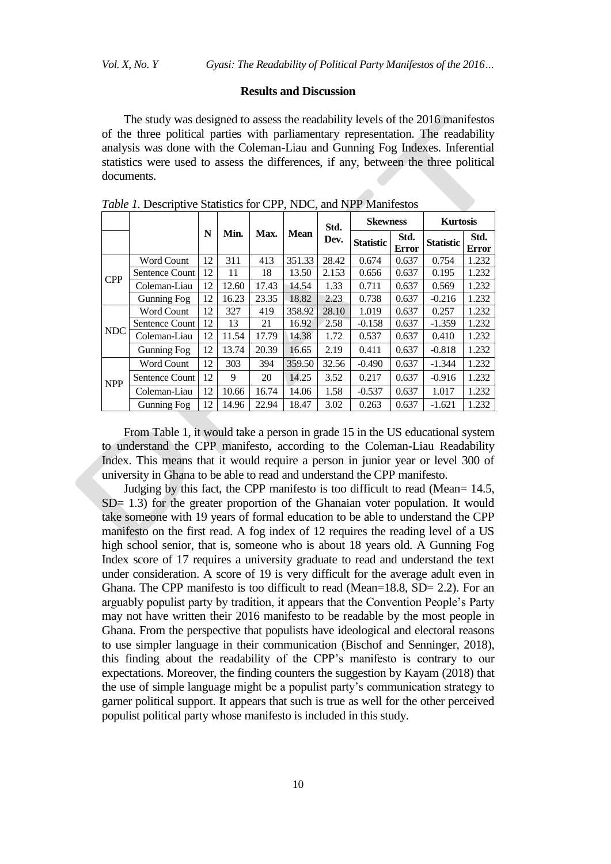#### **Results and Discussion**

The study was designed to assess the readability levels of the 2016 manifestos of the three political parties with parliamentary representation. The readability analysis was done with the Coleman-Liau and Gunning Fog Indexes. Inferential statistics were used to assess the differences, if any, between the three political documents.

|            |                    |    | Min.  | Max.  | <b>Mean</b> | Std.<br>Dev. | <b>Skewness</b>  |                      | <b>Kurtosis</b>  |               |
|------------|--------------------|----|-------|-------|-------------|--------------|------------------|----------------------|------------------|---------------|
|            |                    | N  |       |       |             |              | <b>Statistic</b> | Std.<br><b>Error</b> | <b>Statistic</b> | Std.<br>Error |
| <b>CPP</b> | <b>Word Count</b>  | 12 | 311   | 413   | 351.33      | 28.42        | 0.674            | 0.637                | 0.754            | 1.232         |
|            | Sentence Count     | 12 | 11    | 18    | 13.50       | 2.153        | 0.656            | 0.637                | 0.195            | 1.232         |
|            | Coleman-Liau       | 12 | 12.60 | 17.43 | 14.54       | 1.33         | 0.711            | 0.637                | 0.569            | 1.232         |
|            | <b>Gunning Fog</b> | 12 | 16.23 | 23.35 | 18.82       | 2.23         | 0.738            | 0.637                | $-0.216$         | 1.232         |
| <b>NDC</b> | <b>Word Count</b>  | 12 | 327   | 419   | 358.92      | 28.10        | 1.019            | 0.637                | 0.257            | 1.232         |
|            | Sentence Count     | 12 | 13    | 21    | 16.92       | 2.58         | $-0.158$         | 0.637                | $-1.359$         | 1.232         |
|            | Coleman-Liau       | 12 | 11.54 | 17.79 | 14.38       | 1.72         | 0.537            | 0.637                | 0.410            | 1.232         |
|            | <b>Gunning Fog</b> | 12 | 13.74 | 20.39 | 16.65       | 2.19         | 0.411            | 0.637                | $-0.818$         | 1.232         |
| <b>NPP</b> | Word Count         | 12 | 303   | 394   | 359.50      | 32.56        | $-0.490$         | 0.637                | $-1.344$         | 1.232         |
|            | Sentence Count     | 12 | 9     | 20    | 14.25       | 3.52         | 0.217            | 0.637                | $-0.916$         | 1.232         |
|            | Coleman-Liau       | 12 | 10.66 | 16.74 | 14.06       | 1.58         | $-0.537$         | 0.637                | 1.017            | 1.232         |
|            | <b>Gunning Fog</b> | 12 | 14.96 | 22.94 | 18.47       | 3.02         | 0.263            | 0.637                | $-1.621$         | 1.232         |

*Table 1.* Descriptive Statistics for CPP, NDC, and NPP Manifestos

From Table 1, it would take a person in grade 15 in the US educational system to understand the CPP manifesto, according to the Coleman-Liau Readability Index. This means that it would require a person in junior year or level 300 of university in Ghana to be able to read and understand the CPP manifesto.

Judging by this fact, the CPP manifesto is too difficult to read (Mean= 14.5, SD= 1.3) for the greater proportion of the Ghanaian voter population. It would take someone with 19 years of formal education to be able to understand the CPP manifesto on the first read. A fog index of 12 requires the reading level of a US high school senior, that is, someone who is about 18 years old. A Gunning Fog Index score of 17 requires a university graduate to read and understand the text under consideration. A score of 19 is very difficult for the average adult even in Ghana. The CPP manifesto is too difficult to read (Mean=18.8, SD= 2.2). For an arguably populist party by tradition, it appears that the Convention People"s Party may not have written their 2016 manifesto to be readable by the most people in Ghana. From the perspective that populists have ideological and electoral reasons to use simpler language in their communication (Bischof and Senninger, 2018), this finding about the readability of the CPP"s manifesto is contrary to our expectations. Moreover, the finding counters the suggestion by Kayam (2018) that the use of simple language might be a populist party"s communication strategy to garner political support. It appears that such is true as well for the other perceived populist political party whose manifesto is included in this study.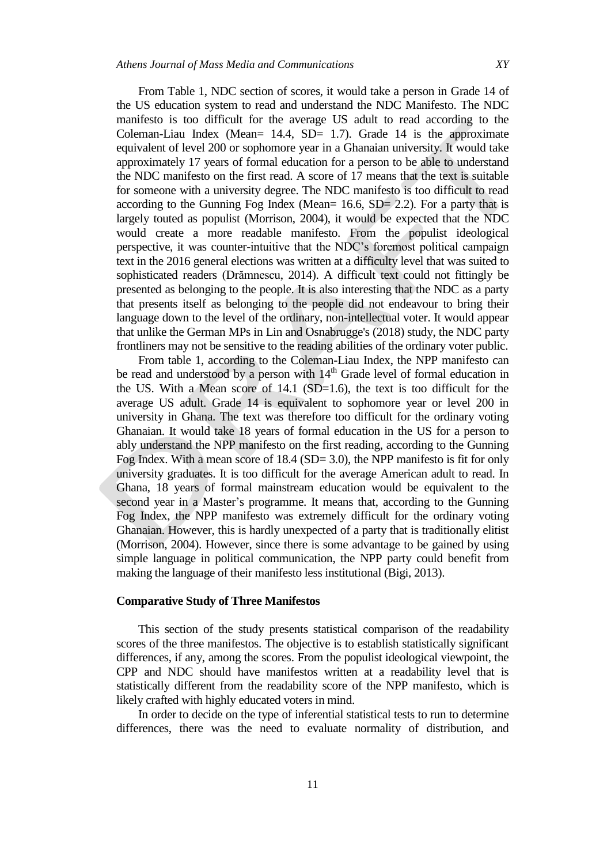From Table 1, NDC section of scores, it would take a person in Grade 14 of the US education system to read and understand the NDC Manifesto. The NDC manifesto is too difficult for the average US adult to read according to the Coleman-Liau Index (Mean=  $14.4$ , SD=  $1.7$ ). Grade  $14$  is the approximate equivalent of level 200 or sophomore year in a Ghanaian university. It would take approximately 17 years of formal education for a person to be able to understand the NDC manifesto on the first read. A score of 17 means that the text is suitable for someone with a university degree. The NDC manifesto is too difficult to read according to the Gunning Fog Index (Mean= 16.6, SD= 2.2). For a party that is largely touted as populist (Morrison, 2004), it would be expected that the NDC would create a more readable manifesto. From the populist ideological perspective, it was counter-intuitive that the NDC"s foremost political campaign text in the 2016 general elections was written at a difficulty level that was suited to sophisticated readers (Drămnescu, 2014). A difficult text could not fittingly be presented as belonging to the people. It is also interesting that the NDC as a party that presents itself as belonging to the people did not endeavour to bring their language down to the level of the ordinary, non-intellectual voter. It would appear that unlike the German MPs in Lin and Osnabrugge's (2018) study, the NDC party frontliners may not be sensitive to the reading abilities of the ordinary voter public.

From table 1, according to the Coleman-Liau Index, the NPP manifesto can be read and understood by a person with  $14<sup>th</sup>$  Grade level of formal education in the US. With a Mean score of  $14.1$  (SD=1.6), the text is too difficult for the average US adult. Grade 14 is equivalent to sophomore year or level 200 in university in Ghana. The text was therefore too difficult for the ordinary voting Ghanaian. It would take 18 years of formal education in the US for a person to ably understand the NPP manifesto on the first reading, according to the Gunning Fog Index. With a mean score of 18.4 (SD= 3.0), the NPP manifesto is fit for only university graduates. It is too difficult for the average American adult to read. In Ghana, 18 years of formal mainstream education would be equivalent to the second year in a Master"s programme. It means that, according to the Gunning Fog Index, the NPP manifesto was extremely difficult for the ordinary voting Ghanaian. However, this is hardly unexpected of a party that is traditionally elitist (Morrison, 2004). However, since there is some advantage to be gained by using simple language in political communication, the NPP party could benefit from making the language of their manifesto less institutional (Bigi, 2013).

#### **Comparative Study of Three Manifestos**

This section of the study presents statistical comparison of the readability scores of the three manifestos. The objective is to establish statistically significant differences, if any, among the scores. From the populist ideological viewpoint, the CPP and NDC should have manifestos written at a readability level that is statistically different from the readability score of the NPP manifesto, which is likely crafted with highly educated voters in mind.

In order to decide on the type of inferential statistical tests to run to determine differences, there was the need to evaluate normality of distribution, and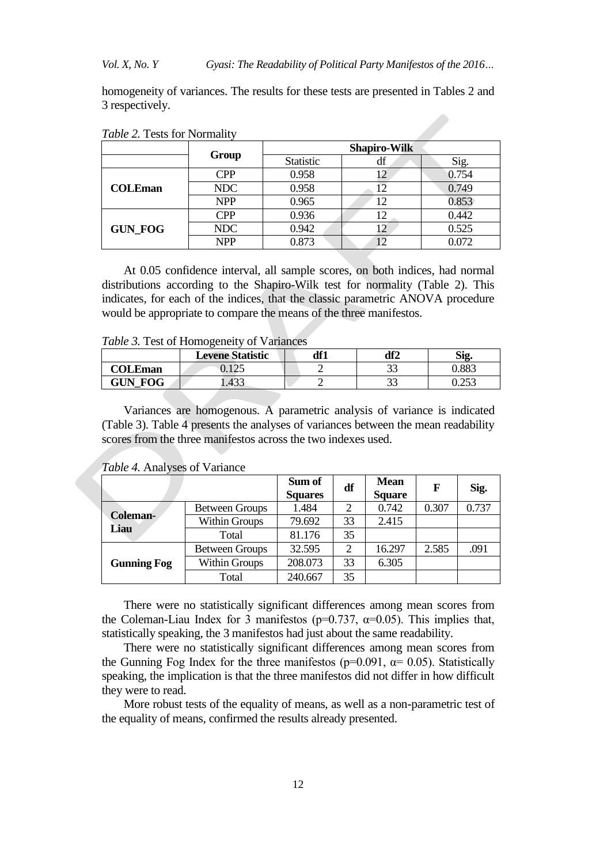*Vol. X, No. Y Gyasi: The Readability of Political Party Manifestos of the 2016…*

homogeneity of variances. The results for these tests are presented in Tables 2 and 3 respectively.

|                |            | <b>Shapiro-Wilk</b> |    |       |  |  |  |
|----------------|------------|---------------------|----|-------|--|--|--|
|                | Group      | Statistic           | df | Sig.  |  |  |  |
|                | <b>CPP</b> | 0.958               |    | 0.754 |  |  |  |
| <b>COLEman</b> | NDC        | 0.958               |    | 0.749 |  |  |  |
|                | <b>NPP</b> | 0.965               | 12 | 0.853 |  |  |  |
|                | <b>CPP</b> | 0.936               |    | 0.442 |  |  |  |
| <b>GUN FOG</b> | NDC        | 0.942               |    | 0.525 |  |  |  |
|                | <b>NPP</b> | 0.873               |    | 0.072 |  |  |  |

*Table 2.* Tests for Normality

At 0.05 confidence interval, all sample scores, on both indices, had normal distributions according to the Shapiro-Wilk test for normality (Table 2). This indicates, for each of the indices, that the classic parametric ANOVA procedure would be appropriate to compare the means of the three manifestos.

*Table 3.* Test of Homogeneity of Variances

|                  | <b>Levene Statistic</b>                         | df1 | df2          | Sig             |
|------------------|-------------------------------------------------|-----|--------------|-----------------|
| $\Omega$ COLEman | $1 \wedge r$<br>$\mathsf{v}\cdot\mathsf{v}\sim$ |     | ^^<br>ر ر    | ).883           |
| <b>GUN FOG</b>   | L.433                                           |     | $\sim$<br>IJ | ስ ጎደጎ<br>ر رے ر |

Variances are homogenous. A parametric analysis of variance is indicated (Table 3). Table 4 presents the analyses of variances between the mean readability scores from the three manifestos across the two indexes used.

|                    |                       | Sum of<br><b>Squares</b> | df             | <b>Mean</b><br><b>Square</b> | F     | Sig.  |
|--------------------|-----------------------|--------------------------|----------------|------------------------------|-------|-------|
|                    | <b>Between Groups</b> | 1.484                    | 2              | 0.742                        | 0.307 | 0.737 |
| Coleman-<br>Liau   | <b>Within Groups</b>  | 79.692                   | 33             | 2.415                        |       |       |
|                    | Total                 | 81.176                   | 35             |                              |       |       |
|                    | <b>Between Groups</b> | 32.595                   | $\overline{2}$ | 16.297                       | 2.585 | .091  |
| <b>Gunning Fog</b> | Within Groups         | 208.073                  | 33             | 6.305                        |       |       |
|                    | Total                 | 240.667                  | 35             |                              |       |       |

*Table 4.* Analyses of Variance

There were no statistically significant differences among mean scores from the Coleman-Liau Index for 3 manifestos ( $p=0.737$ ,  $\alpha=0.05$ ). This implies that, statistically speaking, the 3 manifestos had just about the same readability.

There were no statistically significant differences among mean scores from the Gunning Fog Index for the three manifestos ( $p=0.091$ ,  $\alpha=0.05$ ). Statistically speaking, the implication is that the three manifestos did not differ in how difficult they were to read.

More robust tests of the equality of means, as well as a non-parametric test of the equality of means, confirmed the results already presented.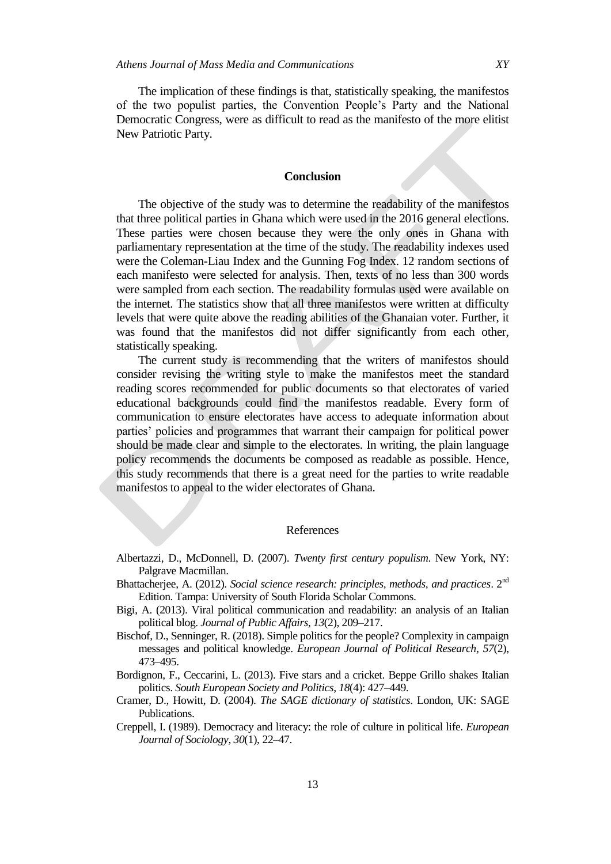The implication of these findings is that, statistically speaking, the manifestos of the two populist parties, the Convention People"s Party and the National Democratic Congress, were as difficult to read as the manifesto of the more elitist New Patriotic Party.

#### **Conclusion**

The objective of the study was to determine the readability of the manifestos that three political parties in Ghana which were used in the 2016 general elections. These parties were chosen because they were the only ones in Ghana with parliamentary representation at the time of the study. The readability indexes used were the Coleman-Liau Index and the Gunning Fog Index. 12 random sections of each manifesto were selected for analysis. Then, texts of no less than 300 words were sampled from each section. The readability formulas used were available on the internet. The statistics show that all three manifestos were written at difficulty levels that were quite above the reading abilities of the Ghanaian voter. Further, it was found that the manifestos did not differ significantly from each other, statistically speaking.

The current study is recommending that the writers of manifestos should consider revising the writing style to make the manifestos meet the standard reading scores recommended for public documents so that electorates of varied educational backgrounds could find the manifestos readable. Every form of communication to ensure electorates have access to adequate information about parties" policies and programmes that warrant their campaign for political power should be made clear and simple to the electorates. In writing, the plain language policy recommends the documents be composed as readable as possible. Hence, this study recommends that there is a great need for the parties to write readable manifestos to appeal to the wider electorates of Ghana.

#### References

- Albertazzi, D., McDonnell, D. (2007). *Twenty first century populism*. New York, NY: Palgrave Macmillan.
- Bhattacherjee, A. (2012). *Social science research: principles, methods, and practices*. 2nd Edition. Tampa: University of South Florida Scholar Commons.
- Bigi, A. (2013). Viral political communication and readability: an analysis of an Italian political blog. *Journal of Public Affairs*, *13*(2), 209–217.
- Bischof, D., Senninger, R. (2018). Simple politics for the people? Complexity in campaign messages and political knowledge. *European Journal of Political Research*, *57*(2), 473–495.
- Bordignon, F., Ceccarini, L. (2013). Five stars and a cricket. Beppe Grillo shakes Italian politics. *South European Society and Politics*, *18*(4): 427–449.
- Cramer, D., Howitt, D. (2004). *The SAGE dictionary of statistics*. London, UK: SAGE Publications.
- Creppell, I. (1989). Democracy and literacy: the role of culture in political life. *European Journal of Sociology*, *30*(1), 22–47.